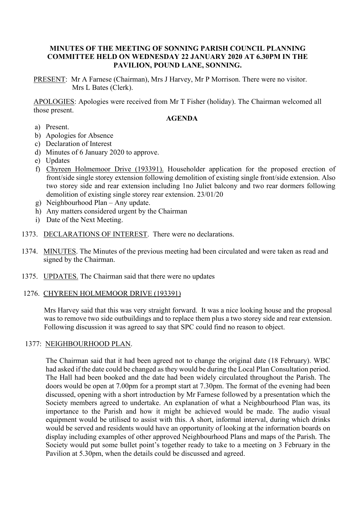# **MINUTES OF THE MEETING OF SONNING PARISH COUNCIL PLANNING COMMITTEE HELD ON WEDNESDAY 22 JANUARY 2020 AT 6.30PM IN THE PAVILION, POUND LANE, SONNING.**

PRESENT: Mr A Farnese (Chairman), Mrs J Harvey, Mr P Morrison. There were no visitor. Mrs L Bates (Clerk).

APOLOGIES: Apologies were received from Mr T Fisher (holiday). The Chairman welcomed all those present.

## **AGENDA**

- a) Present.
- b) Apologies for Absence
- c) Declaration of Interest
- d) Minutes of 6 January 2020 to approve.
- e) Updates
- f) Chyreen Holmemoor Drive (193391). Householder application for the proposed erection of front/side single storey extension following demolition of existing single front/side extension. Also two storey side and rear extension including 1no Juliet balcony and two rear dormers following demolition of existing single storey rear extension. 23/01/20
- g) Neighbourhood Plan Any update.
- h) Any matters considered urgent by the Chairman
- i) Date of the Next Meeting.
- 1373. DECLARATIONS OF INTEREST. There were no declarations.
- 1374. MINUTES. The Minutes of the previous meeting had been circulated and were taken as read and signed by the Chairman.
- 1375. UPDATES. The Chairman said that there were no updates

# 1276. CHYREEN HOLMEMOOR DRIVE (193391)

Mrs Harvey said that this was very straight forward. It was a nice looking house and the proposal was to remove two side outbuildings and to replace them plus a two storey side and rear extension. Following discussion it was agreed to say that SPC could find no reason to object.

#### 1377: NEIGHBOURHOOD PLAN.

The Chairman said that it had been agreed not to change the original date (18 February). WBC had asked if the date could be changed as they would be during the Local Plan Consultation period. The Hall had been booked and the date had been widely circulated throughout the Parish. The doors would be open at 7.00pm for a prompt start at 7.30pm. The format of the evening had been discussed, opening with a short introduction by Mr Farnese followed by a presentation which the Society members agreed to undertake. An explanation of what a Neighbourhood Plan was, its importance to the Parish and how it might be achieved would be made. The audio visual equipment would be utilised to assist with this. A short, informal interval, during which drinks would be served and residents would have an opportunity of looking at the information boards on display including examples of other approved Neighbourhood Plans and maps of the Parish. The Society would put some bullet point's together ready to take to a meeting on 3 February in the Pavilion at 5.30pm, when the details could be discussed and agreed.